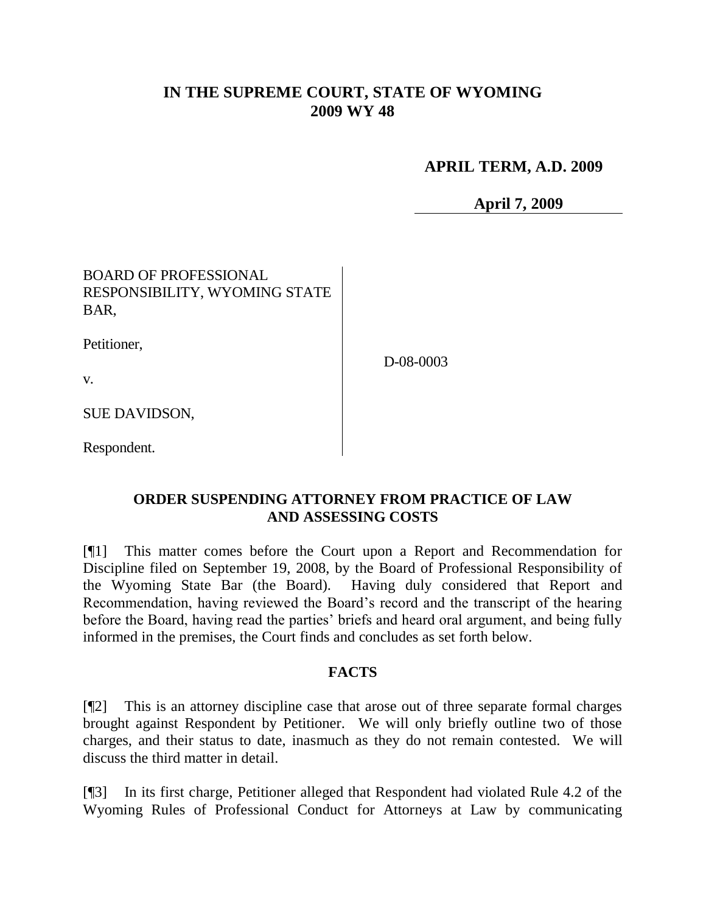# **IN THE SUPREME COURT, STATE OF WYOMING 2009 WY 48**

### **APRIL TERM, A.D. 2009**

**April 7, 2009**

## BOARD OF PROFESSIONAL RESPONSIBILITY, WYOMING STATE BAR,

Petitioner,

v.

D-08-0003

SUE DAVIDSON,

Respondent.

### **ORDER SUSPENDING ATTORNEY FROM PRACTICE OF LAW AND ASSESSING COSTS**

[¶1] This matter comes before the Court upon a Report and Recommendation for Discipline filed on September 19, 2008, by the Board of Professional Responsibility of the Wyoming State Bar (the Board). Having duly considered that Report and Recommendation, having reviewed the Board's record and the transcript of the hearing before the Board, having read the parties' briefs and heard oral argument, and being fully informed in the premises, the Court finds and concludes as set forth below.

### **FACTS**

[¶2] This is an attorney discipline case that arose out of three separate formal charges brought against Respondent by Petitioner. We will only briefly outline two of those charges, and their status to date, inasmuch as they do not remain contested. We will discuss the third matter in detail.

[¶3] In its first charge, Petitioner alleged that Respondent had violated Rule 4.2 of the Wyoming Rules of Professional Conduct for Attorneys at Law by communicating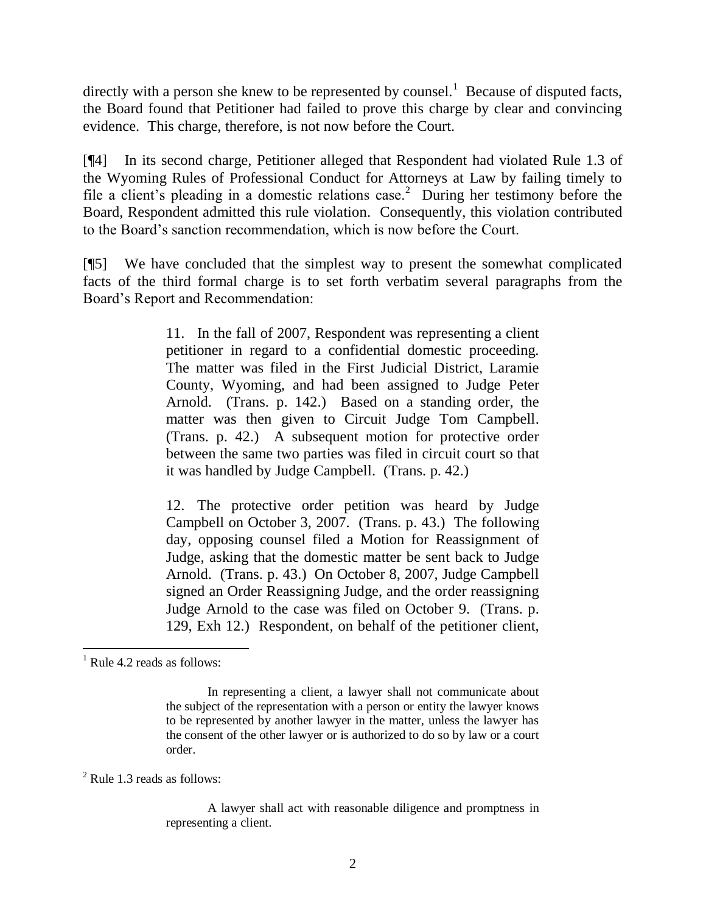directly with a person she knew to be represented by counsel.<sup>1</sup> Because of disputed facts, the Board found that Petitioner had failed to prove this charge by clear and convincing evidence. This charge, therefore, is not now before the Court.

[¶4] In its second charge, Petitioner alleged that Respondent had violated Rule 1.3 of the Wyoming Rules of Professional Conduct for Attorneys at Law by failing timely to file a client's pleading in a domestic relations case.<sup>2</sup> During her testimony before the Board, Respondent admitted this rule violation. Consequently, this violation contributed to the Board's sanction recommendation, which is now before the Court.

[¶5] We have concluded that the simplest way to present the somewhat complicated facts of the third formal charge is to set forth verbatim several paragraphs from the Board's Report and Recommendation:

> 11. In the fall of 2007, Respondent was representing a client petitioner in regard to a confidential domestic proceeding. The matter was filed in the First Judicial District, Laramie County, Wyoming, and had been assigned to Judge Peter Arnold. (Trans. p. 142.) Based on a standing order, the matter was then given to Circuit Judge Tom Campbell. (Trans. p. 42.) A subsequent motion for protective order between the same two parties was filed in circuit court so that it was handled by Judge Campbell. (Trans. p. 42.)

> 12. The protective order petition was heard by Judge Campbell on October 3, 2007. (Trans. p. 43.) The following day, opposing counsel filed a Motion for Reassignment of Judge, asking that the domestic matter be sent back to Judge Arnold. (Trans. p. 43.) On October 8, 2007, Judge Campbell signed an Order Reassigning Judge, and the order reassigning Judge Arnold to the case was filed on October 9. (Trans. p. 129, Exh 12.) Respondent, on behalf of the petitioner client,

 $\overline{a}$ 

<sup>2</sup> Rule 1.3 reads as follows:

A lawyer shall act with reasonable diligence and promptness in representing a client.

 $<sup>1</sup>$  Rule 4.2 reads as follows:</sup>

In representing a client, a lawyer shall not communicate about the subject of the representation with a person or entity the lawyer knows to be represented by another lawyer in the matter, unless the lawyer has the consent of the other lawyer or is authorized to do so by law or a court order.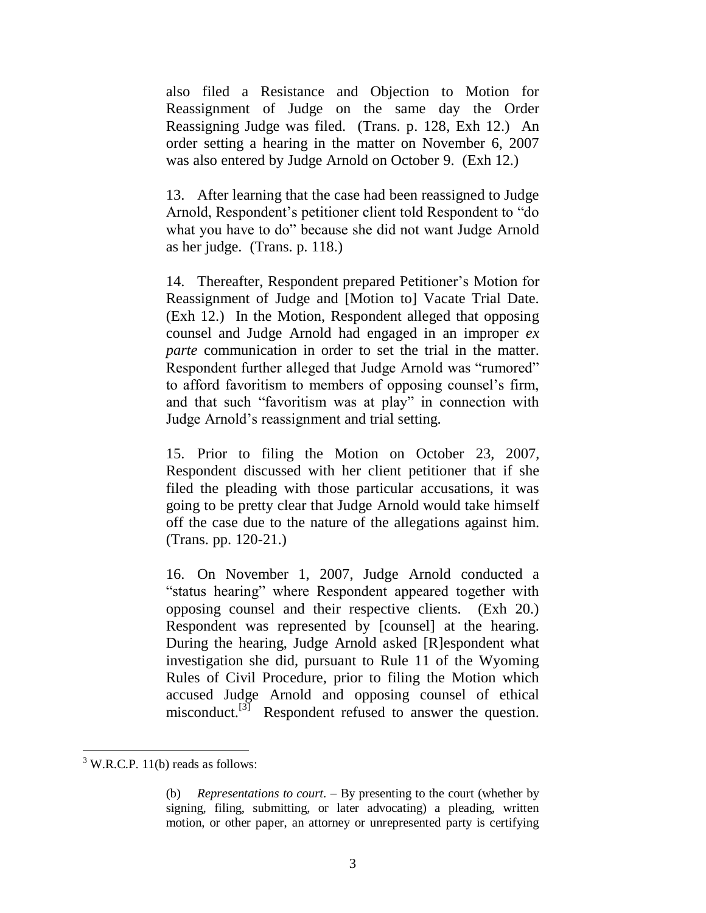also filed a Resistance and Objection to Motion for Reassignment of Judge on the same day the Order Reassigning Judge was filed. (Trans. p. 128, Exh 12.) An order setting a hearing in the matter on November 6, 2007 was also entered by Judge Arnold on October 9. (Exh 12.)

13. After learning that the case had been reassigned to Judge Arnold, Respondent's petitioner client told Respondent to "do" what you have to do" because she did not want Judge Arnold as her judge. (Trans. p. 118.)

14. Thereafter, Respondent prepared Petitioner's Motion for Reassignment of Judge and [Motion to] Vacate Trial Date. (Exh 12.) In the Motion, Respondent alleged that opposing counsel and Judge Arnold had engaged in an improper *ex parte* communication in order to set the trial in the matter. Respondent further alleged that Judge Arnold was "rumored" to afford favoritism to members of opposing counsel's firm, and that such "favoritism was at play" in connection with Judge Arnold's reassignment and trial setting.

15. Prior to filing the Motion on October 23, 2007, Respondent discussed with her client petitioner that if she filed the pleading with those particular accusations, it was going to be pretty clear that Judge Arnold would take himself off the case due to the nature of the allegations against him. (Trans. pp. 120-21.)

16. On November 1, 2007, Judge Arnold conducted a "status hearing" where Respondent appeared together with opposing counsel and their respective clients. (Exh 20.) Respondent was represented by [counsel] at the hearing. During the hearing, Judge Arnold asked [R]espondent what investigation she did, pursuant to Rule 11 of the Wyoming Rules of Civil Procedure, prior to filing the Motion which accused Judge Arnold and opposing counsel of ethical misconduct.<sup>[3]</sup> Respondent refused to answer the question.

 $\overline{a}$ 

 $3$  W.R.C.P. 11(b) reads as follows:

<sup>(</sup>b) *Representations to court*. – By presenting to the court (whether by signing, filing, submitting, or later advocating) a pleading, written motion, or other paper, an attorney or unrepresented party is certifying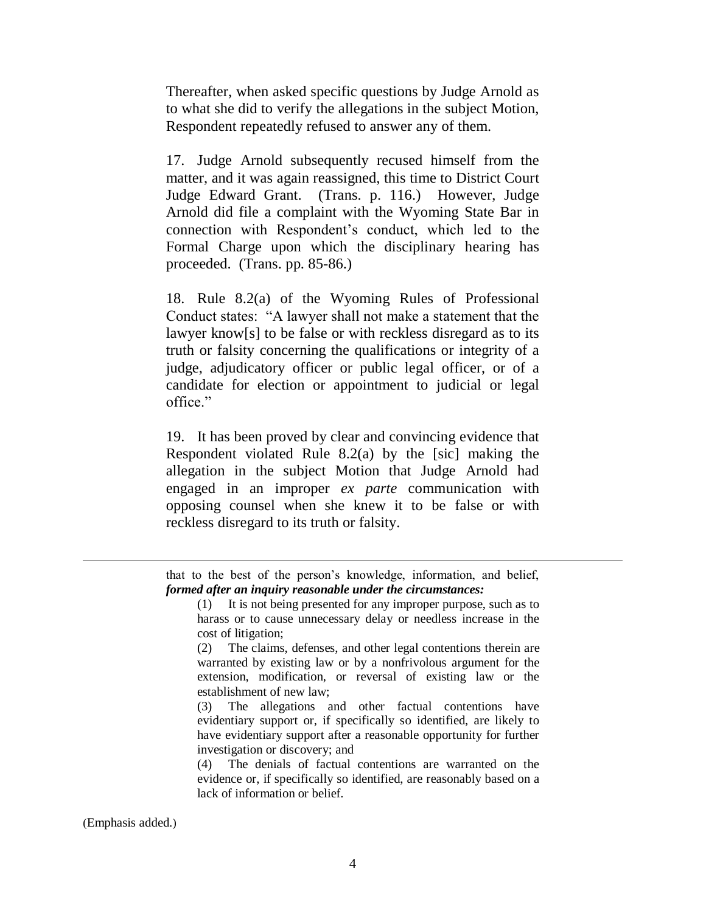Thereafter, when asked specific questions by Judge Arnold as to what she did to verify the allegations in the subject Motion, Respondent repeatedly refused to answer any of them.

17. Judge Arnold subsequently recused himself from the matter, and it was again reassigned, this time to District Court Judge Edward Grant. (Trans. p. 116.) However, Judge Arnold did file a complaint with the Wyoming State Bar in connection with Respondent's conduct, which led to the Formal Charge upon which the disciplinary hearing has proceeded. (Trans. pp. 85-86.)

18. Rule 8.2(a) of the Wyoming Rules of Professional Conduct states: "A lawyer shall not make a statement that the lawyer know[s] to be false or with reckless disregard as to its truth or falsity concerning the qualifications or integrity of a judge, adjudicatory officer or public legal officer, or of a candidate for election or appointment to judicial or legal office."

19. It has been proved by clear and convincing evidence that Respondent violated Rule 8.2(a) by the [sic] making the allegation in the subject Motion that Judge Arnold had engaged in an improper *ex parte* communication with opposing counsel when she knew it to be false or with reckless disregard to its truth or falsity.

that to the best of the person's knowledge, information, and belief, *formed after an inquiry reasonable under the circumstances:*

(1) It is not being presented for any improper purpose, such as to harass or to cause unnecessary delay or needless increase in the cost of litigation;

(2) The claims, defenses, and other legal contentions therein are warranted by existing law or by a nonfrivolous argument for the extension, modification, or reversal of existing law or the establishment of new law;

(3) The allegations and other factual contentions have evidentiary support or, if specifically so identified, are likely to have evidentiary support after a reasonable opportunity for further investigation or discovery; and

(4) The denials of factual contentions are warranted on the evidence or, if specifically so identified, are reasonably based on a lack of information or belief.

(Emphasis added.)

 $\overline{a}$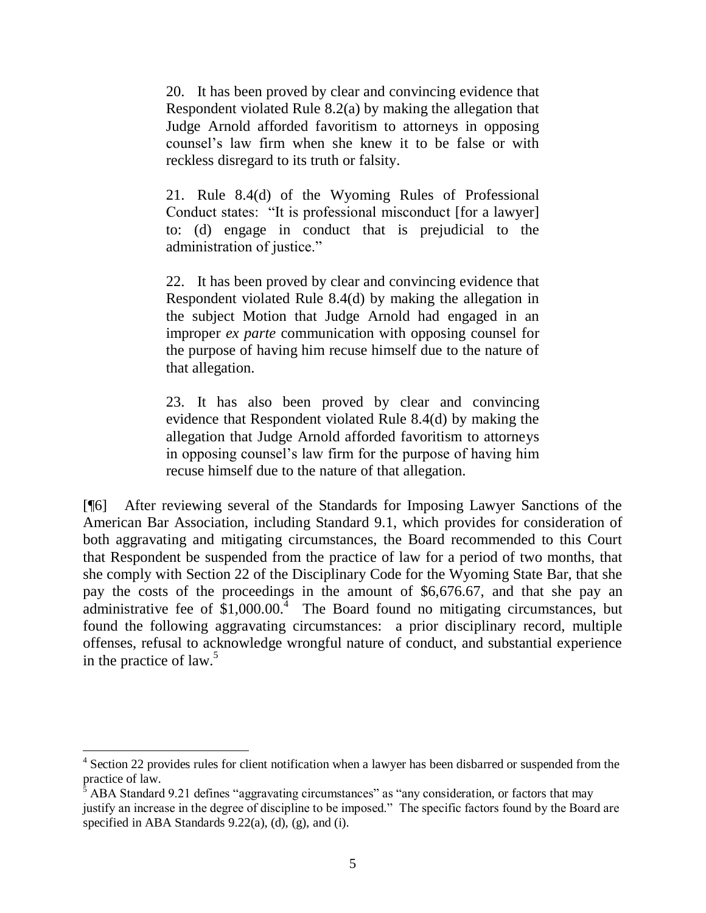20. It has been proved by clear and convincing evidence that Respondent violated Rule 8.2(a) by making the allegation that Judge Arnold afforded favoritism to attorneys in opposing counsel's law firm when she knew it to be false or with reckless disregard to its truth or falsity.

21. Rule 8.4(d) of the Wyoming Rules of Professional Conduct states: "It is professional misconduct [for a lawyer] to: (d) engage in conduct that is prejudicial to the administration of justice."

22. It has been proved by clear and convincing evidence that Respondent violated Rule 8.4(d) by making the allegation in the subject Motion that Judge Arnold had engaged in an improper *ex parte* communication with opposing counsel for the purpose of having him recuse himself due to the nature of that allegation.

23. It has also been proved by clear and convincing evidence that Respondent violated Rule 8.4(d) by making the allegation that Judge Arnold afforded favoritism to attorneys in opposing counsel's law firm for the purpose of having him recuse himself due to the nature of that allegation.

[¶6] After reviewing several of the Standards for Imposing Lawyer Sanctions of the American Bar Association, including Standard 9.1, which provides for consideration of both aggravating and mitigating circumstances, the Board recommended to this Court that Respondent be suspended from the practice of law for a period of two months, that she comply with Section 22 of the Disciplinary Code for the Wyoming State Bar, that she pay the costs of the proceedings in the amount of \$6,676.67, and that she pay an administrative fee of  $$1,000.00$ .<sup>4</sup> The Board found no mitigating circumstances, but found the following aggravating circumstances: a prior disciplinary record, multiple offenses, refusal to acknowledge wrongful nature of conduct, and substantial experience in the practice of  $law<sup>5</sup>$ .

 $\overline{a}$ 

<sup>&</sup>lt;sup>4</sup> Section 22 provides rules for client notification when a lawyer has been disbarred or suspended from the practice of law.

ABA Standard 9.21 defines "aggravating circumstances" as "any consideration, or factors that may justify an increase in the degree of discipline to be imposed." The specific factors found by the Board are specified in ABA Standards 9.22(a), (d), (g), and (i).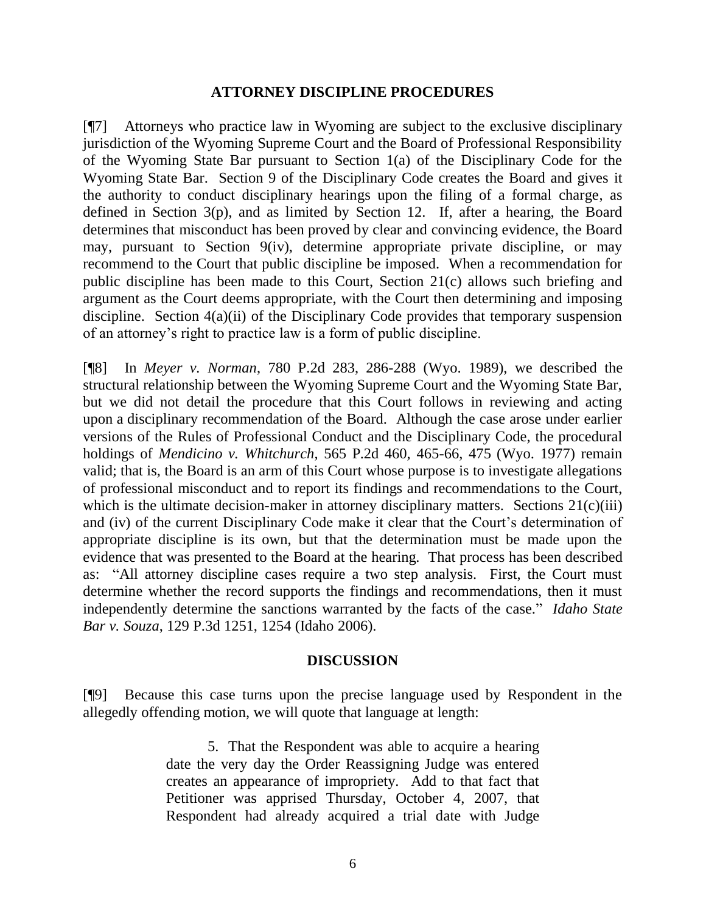#### **ATTORNEY DISCIPLINE PROCEDURES**

[¶7] Attorneys who practice law in Wyoming are subject to the exclusive disciplinary jurisdiction of the Wyoming Supreme Court and the Board of Professional Responsibility of the Wyoming State Bar pursuant to Section 1(a) of the Disciplinary Code for the Wyoming State Bar. Section 9 of the Disciplinary Code creates the Board and gives it the authority to conduct disciplinary hearings upon the filing of a formal charge, as defined in Section 3(p), and as limited by Section 12. If, after a hearing, the Board determines that misconduct has been proved by clear and convincing evidence, the Board may, pursuant to Section 9(iv), determine appropriate private discipline, or may recommend to the Court that public discipline be imposed. When a recommendation for public discipline has been made to this Court, Section 21(c) allows such briefing and argument as the Court deems appropriate, with the Court then determining and imposing discipline. Section 4(a)(ii) of the Disciplinary Code provides that temporary suspension of an attorney's right to practice law is a form of public discipline.

[¶8] In *Meyer v. Norman*, 780 P.2d 283, 286-288 (Wyo. 1989), we described the structural relationship between the Wyoming Supreme Court and the Wyoming State Bar, but we did not detail the procedure that this Court follows in reviewing and acting upon a disciplinary recommendation of the Board. Although the case arose under earlier versions of the Rules of Professional Conduct and the Disciplinary Code, the procedural holdings of *Mendicino v. Whitchurch*, 565 P.2d 460, 465-66, 475 (Wyo. 1977) remain valid; that is, the Board is an arm of this Court whose purpose is to investigate allegations of professional misconduct and to report its findings and recommendations to the Court, which is the ultimate decision-maker in attorney disciplinary matters. Sections  $21(c)(iii)$ and (iv) of the current Disciplinary Code make it clear that the Court's determination of appropriate discipline is its own, but that the determination must be made upon the evidence that was presented to the Board at the hearing. That process has been described as: "All attorney discipline cases require a two step analysis. First, the Court must determine whether the record supports the findings and recommendations, then it must independently determine the sanctions warranted by the facts of the case." *Idaho State Bar v. Souza*, 129 P.3d 1251, 1254 (Idaho 2006).

#### **DISCUSSION**

[¶9] Because this case turns upon the precise language used by Respondent in the allegedly offending motion, we will quote that language at length:

> 5. That the Respondent was able to acquire a hearing date the very day the Order Reassigning Judge was entered creates an appearance of impropriety. Add to that fact that Petitioner was apprised Thursday, October 4, 2007, that Respondent had already acquired a trial date with Judge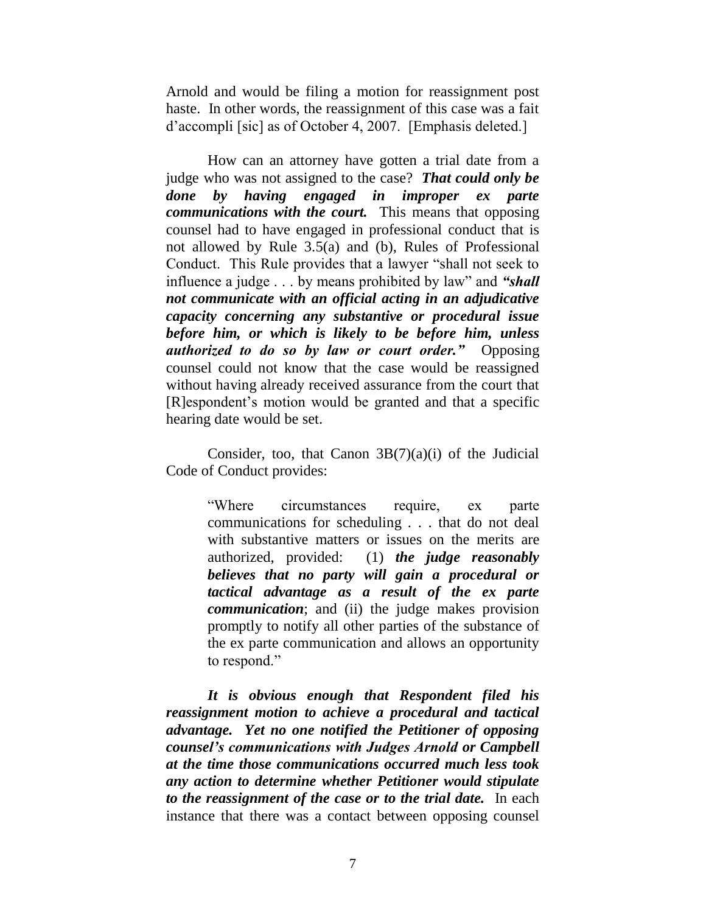Arnold and would be filing a motion for reassignment post haste. In other words, the reassignment of this case was a fait d'accompli [sic] as of October 4, 2007. [Emphasis deleted.]

How can an attorney have gotten a trial date from a judge who was not assigned to the case? *That could only be done by having engaged in improper ex parte communications with the court.* This means that opposing counsel had to have engaged in professional conduct that is not allowed by Rule 3.5(a) and (b), Rules of Professional Conduct. This Rule provides that a lawyer "shall not seek to influence a judge . . . by means prohibited by law" and "shall *not communicate with an official acting in an adjudicative capacity concerning any substantive or procedural issue before him, or which is likely to be before him, unless authorized to do so by law or court order."* Opposing counsel could not know that the case would be reassigned without having already received assurance from the court that [R]espondent's motion would be granted and that a specific hearing date would be set.

Consider, too, that Canon  $3B(7)(a)(i)$  of the Judicial Code of Conduct provides:

> "Where circumstances require, ex parte communications for scheduling . . . that do not deal with substantive matters or issues on the merits are authorized, provided: (1) *the judge reasonably believes that no party will gain a procedural or tactical advantage as a result of the ex parte communication*; and (ii) the judge makes provision promptly to notify all other parties of the substance of the ex parte communication and allows an opportunity to respond."

*It is obvious enough that Respondent filed his reassignment motion to achieve a procedural and tactical advantage. Yet no one notified the Petitioner of opposing counsel's communications with Judges Arnold or Campbell at the time those communications occurred much less took any action to determine whether Petitioner would stipulate to the reassignment of the case or to the trial date.* In each instance that there was a contact between opposing counsel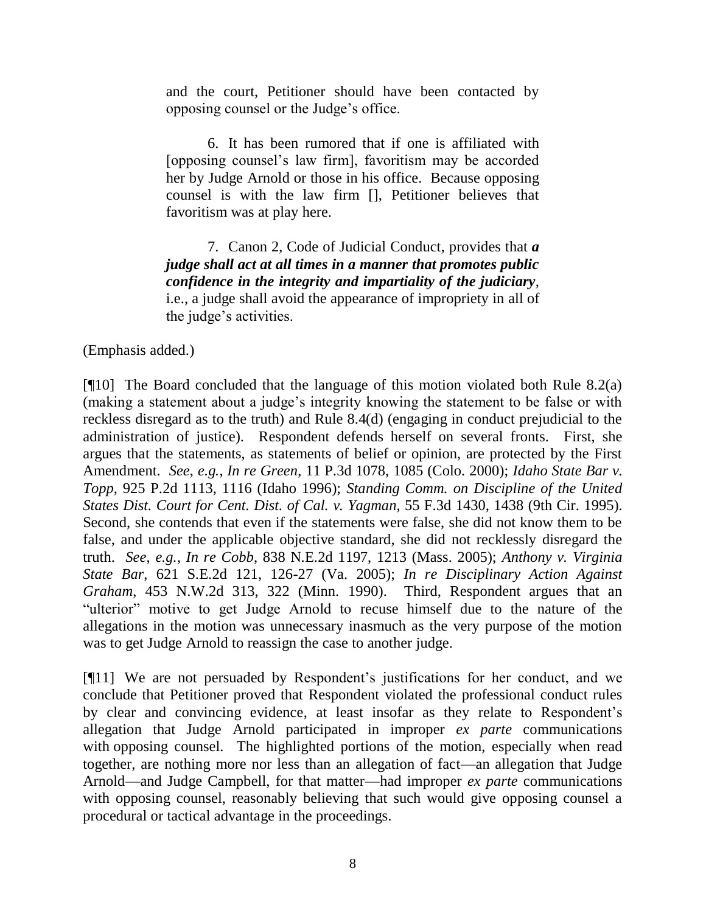and the court, Petitioner should have been contacted by opposing counsel or the Judge's office.

6. It has been rumored that if one is affiliated with [opposing counsel's law firm], favoritism may be accorded her by Judge Arnold or those in his office. Because opposing counsel is with the law firm [], Petitioner believes that favoritism was at play here.

7. Canon 2, Code of Judicial Conduct, provides that *a judge shall act at all times in a manner that promotes public confidence in the integrity and impartiality of the judiciary*, i.e., a judge shall avoid the appearance of impropriety in all of the judge's activities.

(Emphasis added.)

[¶10] The Board concluded that the language of this motion violated both Rule 8.2(a) (making a statement about a judge's integrity knowing the statement to be false or with reckless disregard as to the truth) and Rule 8.4(d) (engaging in conduct prejudicial to the administration of justice). Respondent defends herself on several fronts. First, she argues that the statements, as statements of belief or opinion, are protected by the First Amendment. *See*, *e.g.*, *In re Green*, 11 P.3d 1078, 1085 (Colo. 2000); *Idaho State Bar v. Topp*, 925 P.2d 1113, 1116 (Idaho 1996); *Standing Comm. on Discipline of the United States Dist. Court for Cent. Dist. of Cal. v. Yagman*, 55 F.3d 1430, 1438 (9th Cir. 1995). Second, she contends that even if the statements were false, she did not know them to be false, and under the applicable objective standard, she did not recklessly disregard the truth. *See*, *e.g.*, *In re Cobb*, 838 N.E.2d 1197, 1213 (Mass. 2005); *Anthony v. Virginia State Bar*, 621 S.E.2d 121, 126-27 (Va. 2005); *In re Disciplinary Action Against Graham*, 453 N.W.2d 313, 322 (Minn. 1990). Third, Respondent argues that an "ulterior" motive to get Judge Arnold to recuse himself due to the nature of the allegations in the motion was unnecessary inasmuch as the very purpose of the motion was to get Judge Arnold to reassign the case to another judge.

[¶11] We are not persuaded by Respondent's justifications for her conduct, and we conclude that Petitioner proved that Respondent violated the professional conduct rules by clear and convincing evidence, at least insofar as they relate to Respondent's allegation that Judge Arnold participated in improper *ex parte* communications with opposing counsel. The highlighted portions of the motion, especially when read together, are nothing more nor less than an allegation of fact—an allegation that Judge Arnold—and Judge Campbell, for that matter—had improper *ex parte* communications with opposing counsel, reasonably believing that such would give opposing counsel a procedural or tactical advantage in the proceedings.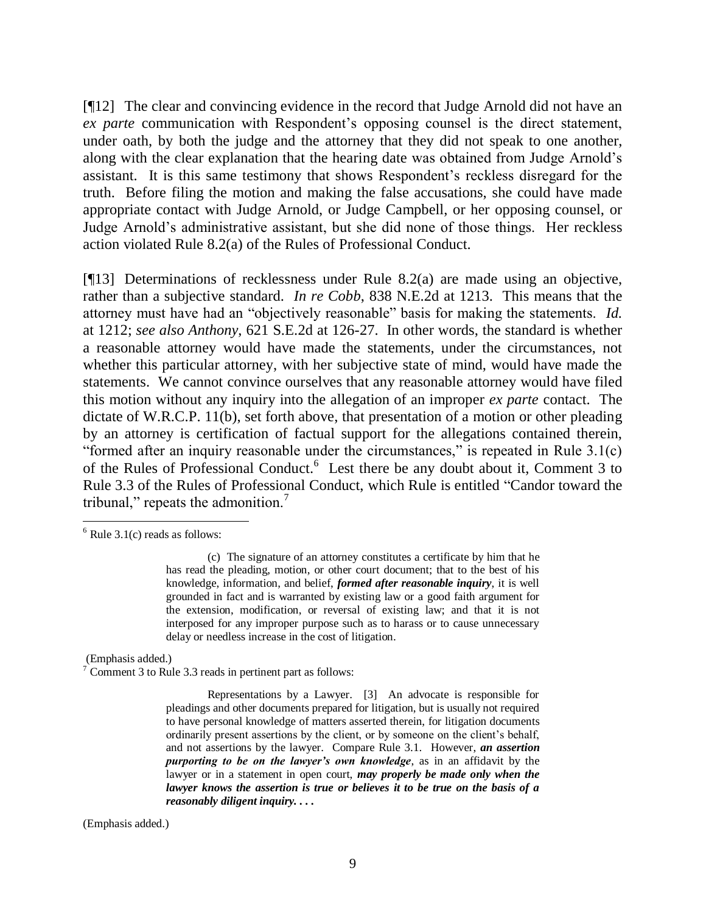[¶12] The clear and convincing evidence in the record that Judge Arnold did not have an *ex parte* communication with Respondent's opposing counsel is the direct statement, under oath, by both the judge and the attorney that they did not speak to one another, along with the clear explanation that the hearing date was obtained from Judge Arnold's assistant. It is this same testimony that shows Respondent's reckless disregard for the truth. Before filing the motion and making the false accusations, she could have made appropriate contact with Judge Arnold, or Judge Campbell, or her opposing counsel, or Judge Arnold's administrative assistant, but she did none of those things. Her reckless action violated Rule 8.2(a) of the Rules of Professional Conduct.

[¶13] Determinations of recklessness under Rule 8.2(a) are made using an objective, rather than a subjective standard. *In re Cobb*, 838 N.E.2d at 1213. This means that the attorney must have had an "objectively reasonable" basis for making the statements. *Id.* at 1212; *see also Anthony*, 621 S.E.2d at 126-27. In other words, the standard is whether a reasonable attorney would have made the statements, under the circumstances, not whether this particular attorney, with her subjective state of mind, would have made the statements. We cannot convince ourselves that any reasonable attorney would have filed this motion without any inquiry into the allegation of an improper *ex parte* contact. The dictate of W.R.C.P. 11(b), set forth above, that presentation of a motion or other pleading by an attorney is certification of factual support for the allegations contained therein, "formed after an inquiry reasonable under the circumstances," is repeated in Rule  $3.1(c)$ of the Rules of Professional Conduct.<sup>6</sup> Lest there be any doubt about it, Comment 3 to Rule 3.3 of the Rules of Professional Conduct, which Rule is entitled "Candor toward the tribunal," repeats the admonition. $\frac{7}{1}$ 

 $\overline{a}$ 

(Emphasis added.)

 $7$  Comment 3 to Rule 3.3 reads in pertinent part as follows:

Representations by a Lawyer. [3] An advocate is responsible for pleadings and other documents prepared for litigation, but is usually not required to have personal knowledge of matters asserted therein, for litigation documents ordinarily present assertions by the client, or by someone on the client's behalf, and not assertions by the lawyer. Compare Rule 3.1. However, *an assertion purporting to be on the lawyer's own knowledge*, as in an affidavit by the lawyer or in a statement in open court, *may properly be made only when the lawyer knows the assertion is true or believes it to be true on the basis of a reasonably diligent inquiry. . . .*

(Emphasis added.)

 $6$  Rule 3.1(c) reads as follows:

<sup>(</sup>c) The signature of an attorney constitutes a certificate by him that he has read the pleading, motion, or other court document; that to the best of his knowledge, information, and belief, *formed after reasonable inquiry*, it is well grounded in fact and is warranted by existing law or a good faith argument for the extension, modification, or reversal of existing law; and that it is not interposed for any improper purpose such as to harass or to cause unnecessary delay or needless increase in the cost of litigation.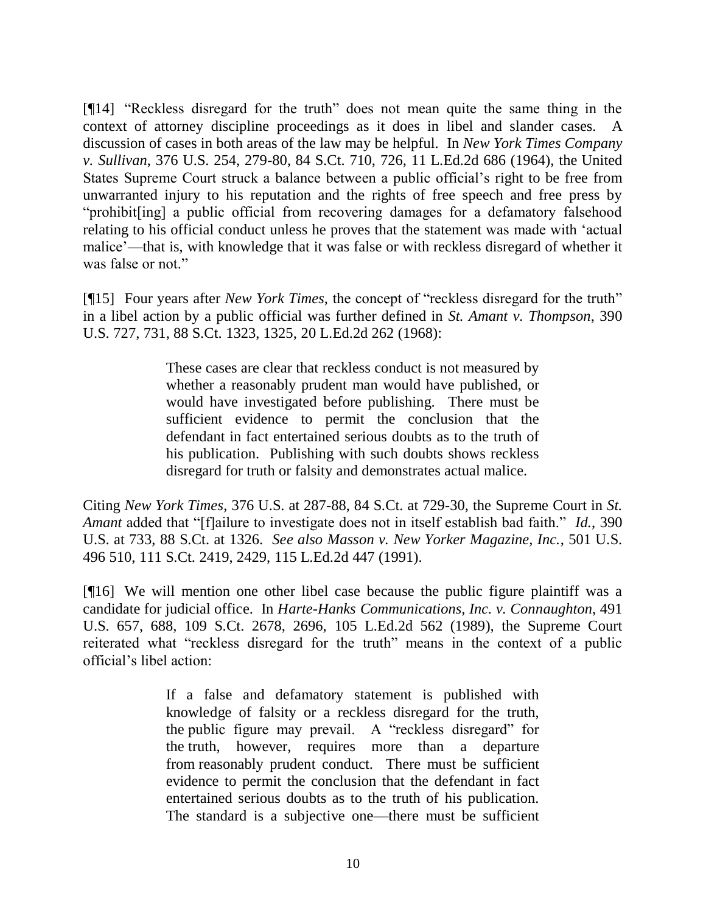[¶14] "Reckless disregard for the truth" does not mean quite the same thing in the context of attorney discipline proceedings as it does in libel and slander cases. A discussion of cases in both areas of the law may be helpful. In *New York Times Company v. Sullivan*, 376 U.S. 254, 279-80, 84 S.Ct. 710, 726, 11 L.Ed.2d 686 (1964), the United States Supreme Court struck a balance between a public official's right to be free from unwarranted injury to his reputation and the rights of free speech and free press by "prohibit [ing] a public official from recovering damages for a defamatory falsehood relating to his official conduct unless he proves that the statement was made with 'actual malice'—that is, with knowledge that it was false or with reckless disregard of whether it was false or not."

[¶15] Four years after *New York Times*, the concept of "reckless disregard for the truth" in a libel action by a public official was further defined in *St. Amant v. Thompson*, 390 U.S. 727, 731, 88 S.Ct. 1323, 1325, 20 L.Ed.2d 262 (1968):

> These cases are clear that reckless conduct is not measured by whether a reasonably prudent man would have published, or would have investigated before publishing. There must be sufficient evidence to permit the conclusion that the defendant in fact entertained serious doubts as to the truth of his publication. Publishing with such doubts shows reckless disregard for truth or falsity and demonstrates actual malice.

Citing *New York Times*, 376 U.S. at 287-88, 84 S.Ct. at 729-30, the Supreme Court in *St. Amant* added that "[f]ailure to investigate does not in itself establish bad faith." *Id.*, 390 U.S. at 733, 88 S.Ct. at 1326. *See also Masson v. New Yorker Magazine, Inc.*, 501 U.S. 496 510, 111 S.Ct. 2419, 2429, 115 L.Ed.2d 447 (1991).

[¶16] We will mention one other libel case because the public figure plaintiff was a candidate for judicial office. In *Harte-Hanks Communications, Inc. v. Connaughton*, 491 U.S. 657, 688, 109 S.Ct. 2678, 2696, 105 L.Ed.2d 562 (1989), the Supreme Court reiterated what "reckless disregard for the truth" means in the context of a public official's libel action:

> If a false and defamatory statement is published with knowledge of falsity or a reckless disregard for the truth, the public figure may prevail. A "reckless disregard" for the truth, however, requires more than a departure from reasonably prudent conduct. There must be sufficient evidence to permit the conclusion that the defendant in fact entertained serious doubts as to the truth of his publication. The standard is a subjective one—there must be sufficient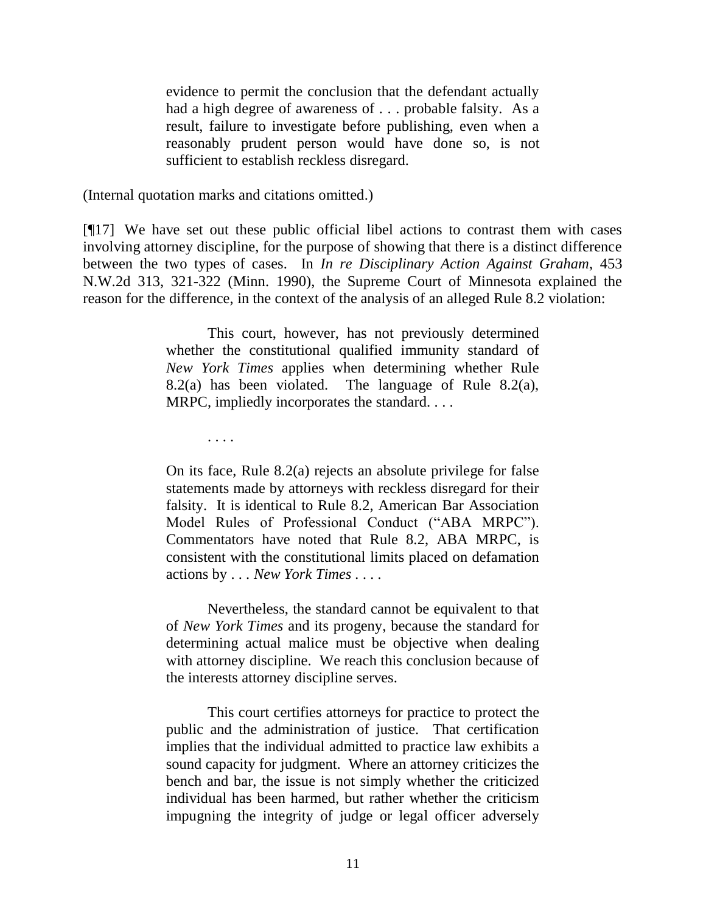evidence to permit the conclusion that the defendant actually had a high degree of awareness of . . . probable falsity. As a result, failure to investigate before publishing, even when a reasonably prudent person would have done so, is not sufficient to establish reckless disregard.

(Internal quotation marks and citations omitted.)

. . . .

[¶17] We have set out these public official libel actions to contrast them with cases involving attorney discipline, for the purpose of showing that there is a distinct difference between the two types of cases. In *In re Disciplinary Action Against Graham*, 453 N.W.2d 313, 321-322 (Minn. 1990), the Supreme Court of Minnesota explained the reason for the difference, in the context of the analysis of an alleged Rule 8.2 violation:

> This court, however, has not previously determined whether the constitutional qualified immunity standard of *New York Times* applies when determining whether Rule 8.2(a) has been violated. The language of Rule 8.2(a), MRPC, impliedly incorporates the standard. . . .

> On its face, Rule 8.2(a) rejects an absolute privilege for false statements made by attorneys with reckless disregard for their falsity. It is identical to Rule 8.2, American Bar Association Model Rules of Professional Conduct ("ABA MRPC"). Commentators have noted that Rule 8.2, ABA MRPC, is consistent with the constitutional limits placed on defamation actions by . . . *New York Times . . . .*

> Nevertheless, the standard cannot be equivalent to that of *New York Times* and its progeny, because the standard for determining actual malice must be objective when dealing with attorney discipline. We reach this conclusion because of the interests attorney discipline serves.

> This court certifies attorneys for practice to protect the public and the administration of justice. That certification implies that the individual admitted to practice law exhibits a sound capacity for judgment. Where an attorney criticizes the bench and bar, the issue is not simply whether the criticized individual has been harmed, but rather whether the criticism impugning the integrity of judge or legal officer adversely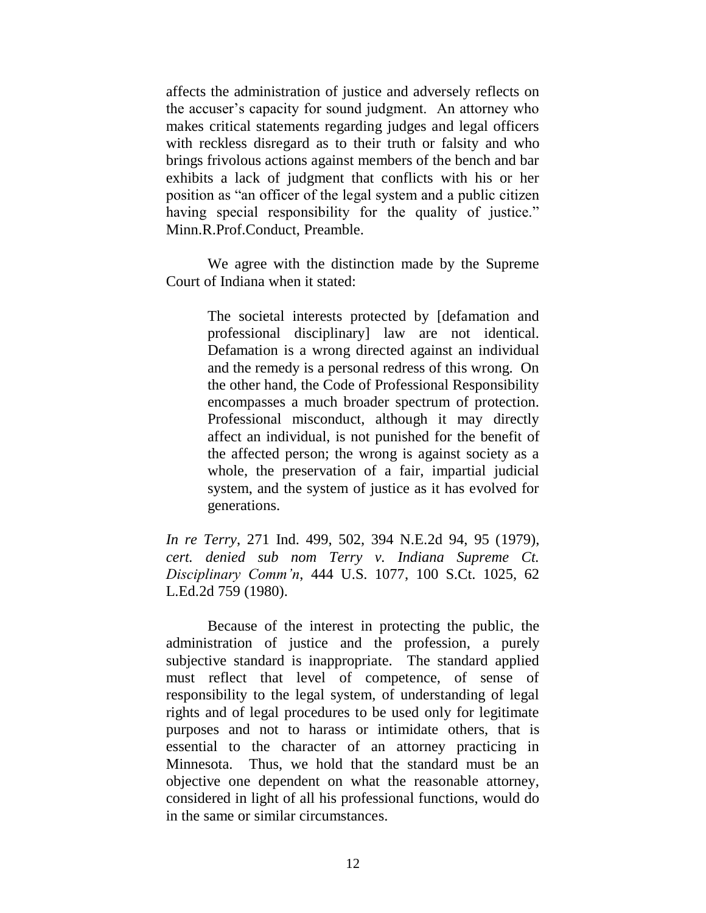affects the administration of justice and adversely reflects on the accuser's capacity for sound judgment. An attorney who makes critical statements regarding judges and legal officers with reckless disregard as to their truth or falsity and who brings frivolous actions against members of the bench and bar exhibits a lack of judgment that conflicts with his or her position as "an officer of the legal system and a public citizen having special responsibility for the quality of justice." Minn.R.Prof.Conduct, Preamble.

We agree with the distinction made by the Supreme Court of Indiana when it stated:

> The societal interests protected by [defamation and professional disciplinary] law are not identical. Defamation is a wrong directed against an individual and the remedy is a personal redress of this wrong. On the other hand, the Code of Professional Responsibility encompasses a much broader spectrum of protection. Professional misconduct, although it may directly affect an individual, is not punished for the benefit of the affected person; the wrong is against society as a whole, the preservation of a fair, impartial judicial system, and the system of justice as it has evolved for generations.

*In re Terry*, 271 Ind. 499, 502, 394 N.E.2d 94, 95 (1979), *cert. denied sub nom Terry v. Indiana Supreme Ct. Disciplinary Comm'n*, 444 U.S. 1077, 100 S.Ct. 1025, 62 L.Ed.2d 759 (1980).

Because of the interest in protecting the public, the administration of justice and the profession, a purely subjective standard is inappropriate. The standard applied must reflect that level of competence, of sense of responsibility to the legal system, of understanding of legal rights and of legal procedures to be used only for legitimate purposes and not to harass or intimidate others, that is essential to the character of an attorney practicing in Minnesota. Thus, we hold that the standard must be an objective one dependent on what the reasonable attorney, considered in light of all his professional functions, would do in the same or similar circumstances.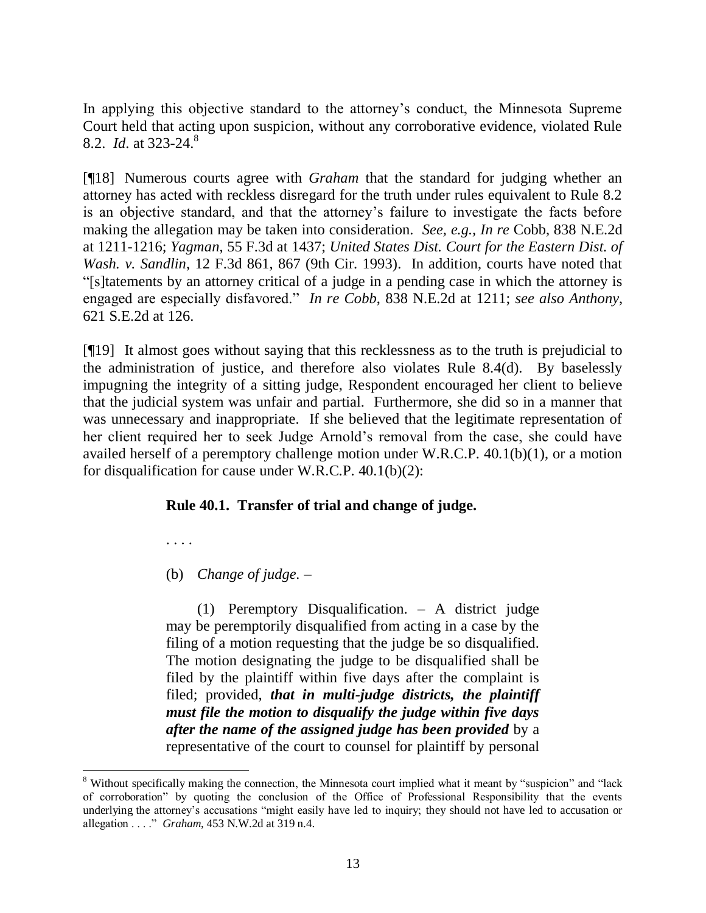In applying this objective standard to the attorney's conduct, the Minnesota Supreme Court held that acting upon suspicion, without any corroborative evidence, violated Rule 8.2. *Id*. at 323-24. 8

[¶18] Numerous courts agree with *Graham* that the standard for judging whether an attorney has acted with reckless disregard for the truth under rules equivalent to Rule 8.2 is an objective standard, and that the attorney's failure to investigate the facts before making the allegation may be taken into consideration. *See, e.g., In re* Cobb, 838 N.E.2d at 1211-1216; *Yagman*, 55 F.3d at 1437; *United States Dist. Court for the Eastern Dist. of Wash. v. Sandlin*, 12 F.3d 861, 867 (9th Cir. 1993). In addition, courts have noted that ―[s]tatements by an attorney critical of a judge in a pending case in which the attorney is engaged are especially disfavored." In re Cobb, 838 N.E.2d at 1211; see also Anthony, 621 S.E.2d at 126.

[¶19] It almost goes without saying that this recklessness as to the truth is prejudicial to the administration of justice, and therefore also violates Rule 8.4(d). By baselessly impugning the integrity of a sitting judge, Respondent encouraged her client to believe that the judicial system was unfair and partial. Furthermore, she did so in a manner that was unnecessary and inappropriate. If she believed that the legitimate representation of her client required her to seek Judge Arnold's removal from the case, she could have availed herself of a peremptory challenge motion under W.R.C.P. 40.1(b)(1), or a motion for disqualification for cause under W.R.C.P. 40.1(b)(2):

## **Rule 40.1. Transfer of trial and change of judge.**

. . . .

 $\overline{a}$ 

(b) *Change of judge.* –

(1) Peremptory Disqualification. – A district judge may be peremptorily disqualified from acting in a case by the filing of a motion requesting that the judge be so disqualified. The motion designating the judge to be disqualified shall be filed by the plaintiff within five days after the complaint is filed; provided, *that in multi-judge districts, the plaintiff must file the motion to disqualify the judge within five days after the name of the assigned judge has been provided* by a representative of the court to counsel for plaintiff by personal

<sup>&</sup>lt;sup>8</sup> Without specifically making the connection, the Minnesota court implied what it meant by "suspicion" and "lack of corroboration‖ by quoting the conclusion of the Office of Professional Responsibility that the events underlying the attorney's accusations "might easily have led to inquiry; they should not have led to accusation or allegation . . . . *" Graham*, 453 N.W.2d at 319 n.4.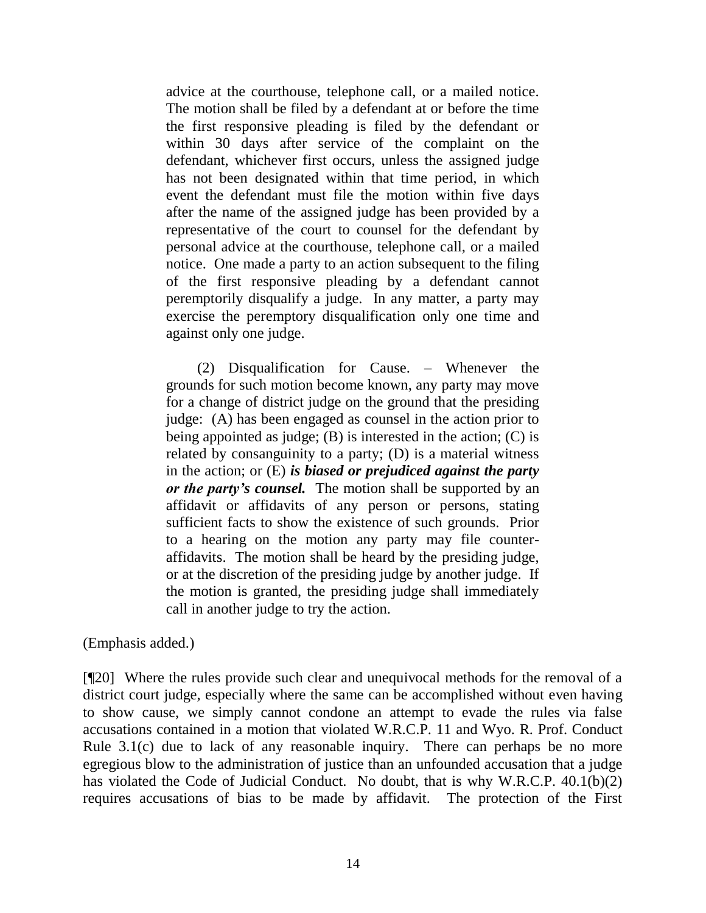advice at the courthouse, telephone call, or a mailed notice. The motion shall be filed by a defendant at or before the time the first responsive pleading is filed by the defendant or within 30 days after service of the complaint on the defendant, whichever first occurs, unless the assigned judge has not been designated within that time period, in which event the defendant must file the motion within five days after the name of the assigned judge has been provided by a representative of the court to counsel for the defendant by personal advice at the courthouse, telephone call, or a mailed notice. One made a party to an action subsequent to the filing of the first responsive pleading by a defendant cannot peremptorily disqualify a judge. In any matter, a party may exercise the peremptory disqualification only one time and against only one judge.

(2) Disqualification for Cause. – Whenever the grounds for such motion become known, any party may move for a change of district judge on the ground that the presiding judge: (A) has been engaged as counsel in the action prior to being appointed as judge;  $(B)$  is interested in the action;  $(C)$  is related by consanguinity to a party; (D) is a material witness in the action; or (E) *is biased or prejudiced against the party or the party's counsel.* The motion shall be supported by an affidavit or affidavits of any person or persons, stating sufficient facts to show the existence of such grounds. Prior to a hearing on the motion any party may file counteraffidavits. The motion shall be heard by the presiding judge, or at the discretion of the presiding judge by another judge. If the motion is granted, the presiding judge shall immediately call in another judge to try the action.

(Emphasis added.)

[¶20] Where the rules provide such clear and unequivocal methods for the removal of a district court judge, especially where the same can be accomplished without even having to show cause, we simply cannot condone an attempt to evade the rules via false accusations contained in a motion that violated W.R.C.P. 11 and Wyo. R. Prof. Conduct Rule 3.1(c) due to lack of any reasonable inquiry. There can perhaps be no more egregious blow to the administration of justice than an unfounded accusation that a judge has violated the Code of Judicial Conduct. No doubt, that is why W.R.C.P. 40.1(b)(2) requires accusations of bias to be made by affidavit. The protection of the First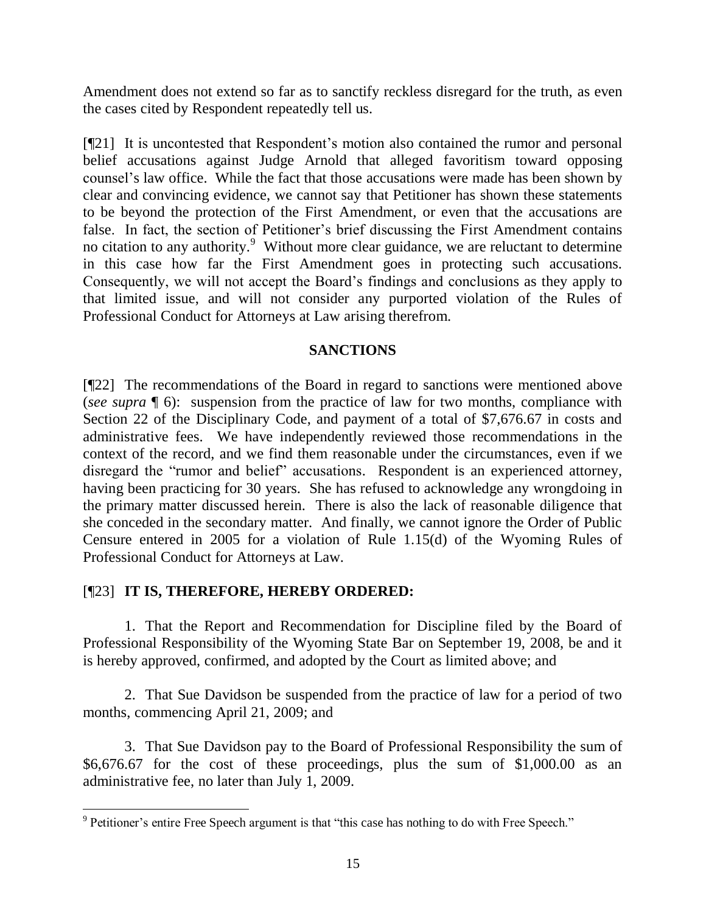Amendment does not extend so far as to sanctify reckless disregard for the truth, as even the cases cited by Respondent repeatedly tell us.

[¶21] It is uncontested that Respondent's motion also contained the rumor and personal belief accusations against Judge Arnold that alleged favoritism toward opposing counsel's law office. While the fact that those accusations were made has been shown by clear and convincing evidence, we cannot say that Petitioner has shown these statements to be beyond the protection of the First Amendment, or even that the accusations are false. In fact, the section of Petitioner's brief discussing the First Amendment contains no citation to any authority.<sup>9</sup> Without more clear guidance, we are reluctant to determine in this case how far the First Amendment goes in protecting such accusations. Consequently, we will not accept the Board's findings and conclusions as they apply to that limited issue, and will not consider any purported violation of the Rules of Professional Conduct for Attorneys at Law arising therefrom.

## **SANCTIONS**

[¶22] The recommendations of the Board in regard to sanctions were mentioned above (*see supra* ¶ 6): suspension from the practice of law for two months, compliance with Section 22 of the Disciplinary Code, and payment of a total of \$7,676.67 in costs and administrative fees. We have independently reviewed those recommendations in the context of the record, and we find them reasonable under the circumstances, even if we disregard the "rumor and belief" accusations. Respondent is an experienced attorney, having been practicing for 30 years. She has refused to acknowledge any wrongdoing in the primary matter discussed herein. There is also the lack of reasonable diligence that she conceded in the secondary matter. And finally, we cannot ignore the Order of Public Censure entered in 2005 for a violation of Rule 1.15(d) of the Wyoming Rules of Professional Conduct for Attorneys at Law.

## [¶23] **IT IS, THEREFORE, HEREBY ORDERED:**

1. That the Report and Recommendation for Discipline filed by the Board of Professional Responsibility of the Wyoming State Bar on September 19, 2008, be and it is hereby approved, confirmed, and adopted by the Court as limited above; and

2. That Sue Davidson be suspended from the practice of law for a period of two months, commencing April 21, 2009; and

3. That Sue Davidson pay to the Board of Professional Responsibility the sum of \$6,676.67 for the cost of these proceedings, plus the sum of \$1,000.00 as an administrative fee, no later than July 1, 2009.

 $\overline{a}$ <sup>9</sup> Petitioner's entire Free Speech argument is that "this case has nothing to do with Free Speech."